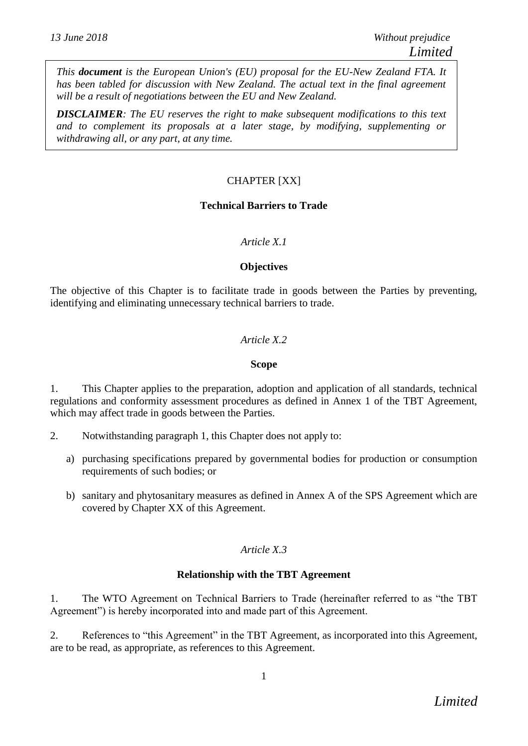*This document is the European Union's (EU) proposal for the EU-New Zealand FTA. It has been tabled for discussion with New Zealand. The actual text in the final agreement will be a result of negotiations between the EU and New Zealand.*

*DISCLAIMER: The EU reserves the right to make subsequent modifications to this text and to complement its proposals at a later stage, by modifying, supplementing or withdrawing all, or any part, at any time.*

### CHAPTER [XX]

### **Technical Barriers to Trade**

### *Article X.1*

#### **Objectives**

The objective of this Chapter is to facilitate trade in goods between the Parties by preventing, identifying and eliminating unnecessary technical barriers to trade.

### *Article X.2*

#### **Scope**

1. This Chapter applies to the preparation, adoption and application of all standards, technical regulations and conformity assessment procedures as defined in Annex 1 of the TBT Agreement, which may affect trade in goods between the Parties.

- 2. Notwithstanding paragraph 1, this Chapter does not apply to:
	- a) purchasing specifications prepared by governmental bodies for production or consumption requirements of such bodies; or
	- b) sanitary and phytosanitary measures as defined in Annex A of the SPS Agreement which are covered by Chapter XX of this Agreement.

### *Article X.3*

#### **Relationship with the TBT Agreement**

1. The WTO Agreement on Technical Barriers to Trade (hereinafter referred to as "the TBT Agreement") is hereby incorporated into and made part of this Agreement.

2. References to "this Agreement" in the TBT Agreement, as incorporated into this Agreement, are to be read, as appropriate, as references to this Agreement.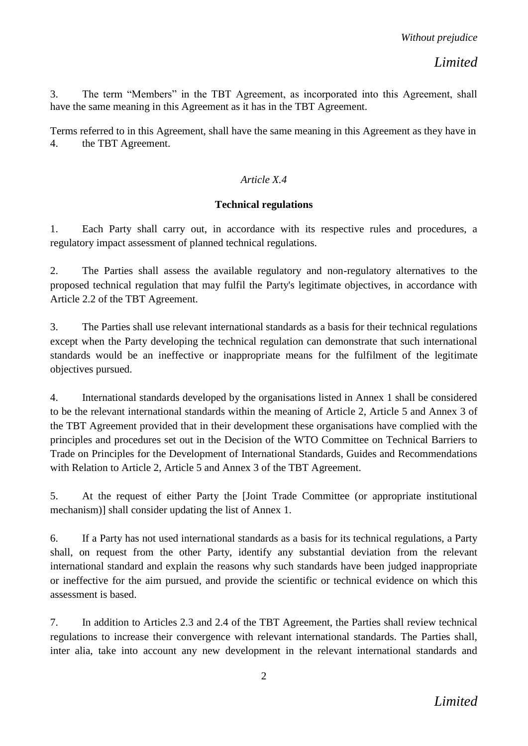3. The term "Members" in the TBT Agreement, as incorporated into this Agreement, shall have the same meaning in this Agreement as it has in the TBT Agreement.

Terms referred to in this Agreement, shall have the same meaning in this Agreement as they have in 4. the TBT Agreement.

## *Article X.4*

## **Technical regulations**

1. Each Party shall carry out, in accordance with its respective rules and procedures, a regulatory impact assessment of planned technical regulations.

2. The Parties shall assess the available regulatory and non-regulatory alternatives to the proposed technical regulation that may fulfil the Party's legitimate objectives, in accordance with Article 2.2 of the TBT Agreement.

3. The Parties shall use relevant international standards as a basis for their technical regulations except when the Party developing the technical regulation can demonstrate that such international standards would be an ineffective or inappropriate means for the fulfilment of the legitimate objectives pursued.

4. International standards developed by the organisations listed in Annex 1 shall be considered to be the relevant international standards within the meaning of Article 2, Article 5 and Annex 3 of the TBT Agreement provided that in their development these organisations have complied with the principles and procedures set out in the Decision of the WTO Committee on Technical Barriers to Trade on Principles for the Development of International Standards, Guides and Recommendations with Relation to Article 2, Article 5 and Annex 3 of the TBT Agreement.

5. At the request of either Party the [Joint Trade Committee (or appropriate institutional mechanism)] shall consider updating the list of Annex 1.

6. If a Party has not used international standards as a basis for its technical regulations, a Party shall, on request from the other Party, identify any substantial deviation from the relevant international standard and explain the reasons why such standards have been judged inappropriate or ineffective for the aim pursued, and provide the scientific or technical evidence on which this assessment is based.

7. In addition to Articles 2.3 and 2.4 of the TBT Agreement, the Parties shall review technical regulations to increase their convergence with relevant international standards. The Parties shall, inter alia, take into account any new development in the relevant international standards and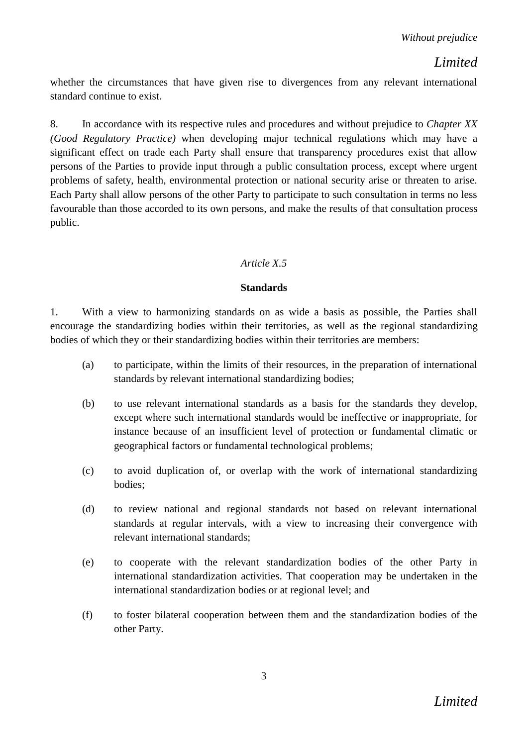whether the circumstances that have given rise to divergences from any relevant international standard continue to exist.

8. In accordance with its respective rules and procedures and without prejudice to *Chapter XX (Good Regulatory Practice)* when developing major technical regulations which may have a significant effect on trade each Party shall ensure that transparency procedures exist that allow persons of the Parties to provide input through a public consultation process, except where urgent problems of safety, health, environmental protection or national security arise or threaten to arise. Each Party shall allow persons of the other Party to participate to such consultation in terms no less favourable than those accorded to its own persons, and make the results of that consultation process public.

## *Article X.5*

### **Standards**

1. With a view to harmonizing standards on as wide a basis as possible, the Parties shall encourage the standardizing bodies within their territories, as well as the regional standardizing bodies of which they or their standardizing bodies within their territories are members:

- (a) to participate, within the limits of their resources, in the preparation of international standards by relevant international standardizing bodies;
- (b) to use relevant international standards as a basis for the standards they develop, except where such international standards would be ineffective or inappropriate, for instance because of an insufficient level of protection or fundamental climatic or geographical factors or fundamental technological problems;
- (c) to avoid duplication of, or overlap with the work of international standardizing bodies;
- (d) to review national and regional standards not based on relevant international standards at regular intervals, with a view to increasing their convergence with relevant international standards;
- (e) to cooperate with the relevant standardization bodies of the other Party in international standardization activities. That cooperation may be undertaken in the international standardization bodies or at regional level; and
- (f) to foster bilateral cooperation between them and the standardization bodies of the other Party.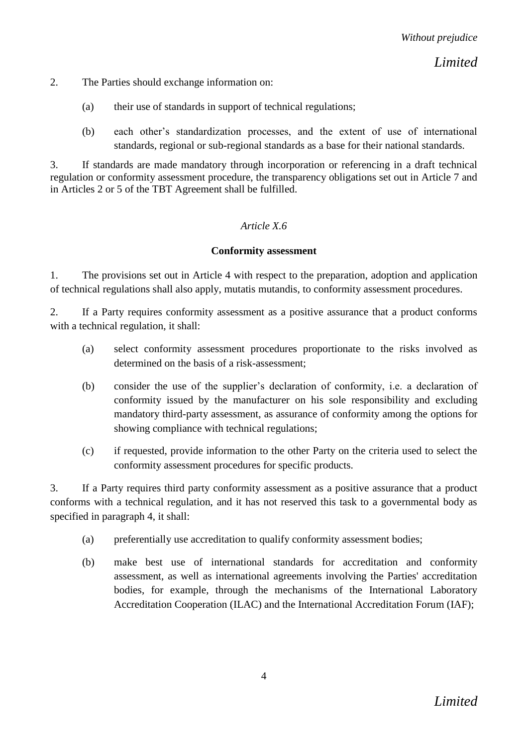2. The Parties should exchange information on:

- (a) their use of standards in support of technical regulations;
- (b) each other's standardization processes, and the extent of use of international standards, regional or sub-regional standards as a base for their national standards.

3. If standards are made mandatory through incorporation or referencing in a draft technical regulation or conformity assessment procedure, the transparency obligations set out in Article 7 and in Articles 2 or 5 of the TBT Agreement shall be fulfilled.

### *Article X.6*

#### **Conformity assessment**

1. The provisions set out in Article 4 with respect to the preparation, adoption and application of technical regulations shall also apply, mutatis mutandis, to conformity assessment procedures.

2. If a Party requires conformity assessment as a positive assurance that a product conforms with a technical regulation, it shall:

- (a) select conformity assessment procedures proportionate to the risks involved as determined on the basis of a risk-assessment;
- (b) consider the use of the supplier's declaration of conformity, i.e. a declaration of conformity issued by the manufacturer on his sole responsibility and excluding mandatory third-party assessment, as assurance of conformity among the options for showing compliance with technical regulations;
- (c) if requested, provide information to the other Party on the criteria used to select the conformity assessment procedures for specific products.

3. If a Party requires third party conformity assessment as a positive assurance that a product conforms with a technical regulation, and it has not reserved this task to a governmental body as specified in paragraph 4, it shall:

- (a) preferentially use accreditation to qualify conformity assessment bodies;
- (b) make best use of international standards for accreditation and conformity assessment, as well as international agreements involving the Parties' accreditation bodies, for example, through the mechanisms of the International Laboratory Accreditation Cooperation (ILAC) and the International Accreditation Forum (IAF);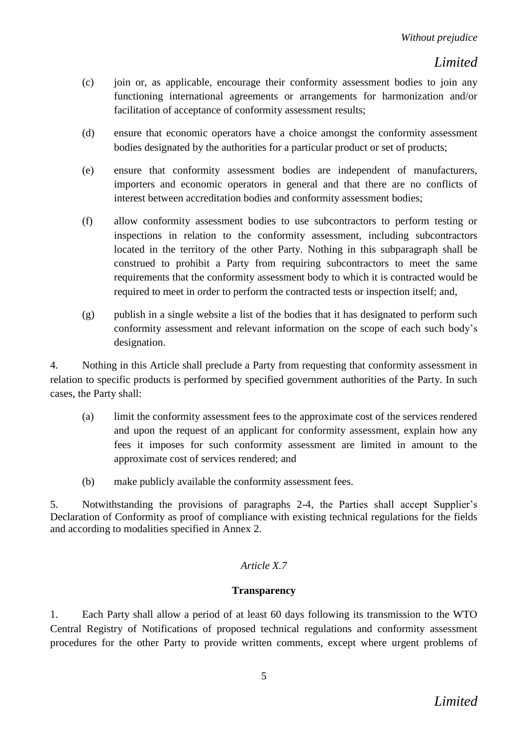- (c) join or, as applicable, encourage their conformity assessment bodies to join any functioning international agreements or arrangements for harmonization and/or facilitation of acceptance of conformity assessment results;
- (d) ensure that economic operators have a choice amongst the conformity assessment bodies designated by the authorities for a particular product or set of products;
- (e) ensure that conformity assessment bodies are independent of manufacturers, importers and economic operators in general and that there are no conflicts of interest between accreditation bodies and conformity assessment bodies;
- (f) allow conformity assessment bodies to use subcontractors to perform testing or inspections in relation to the conformity assessment, including subcontractors located in the territory of the other Party. Nothing in this subparagraph shall be construed to prohibit a Party from requiring subcontractors to meet the same requirements that the conformity assessment body to which it is contracted would be required to meet in order to perform the contracted tests or inspection itself; and,
- (g) publish in a single website a list of the bodies that it has designated to perform such conformity assessment and relevant information on the scope of each such body's designation.

4. Nothing in this Article shall preclude a Party from requesting that conformity assessment in relation to specific products is performed by specified government authorities of the Party. In such cases, the Party shall:

- (a) limit the conformity assessment fees to the approximate cost of the services rendered and upon the request of an applicant for conformity assessment, explain how any fees it imposes for such conformity assessment are limited in amount to the approximate cost of services rendered; and
- (b) make publicly available the conformity assessment fees.

5. Notwithstanding the provisions of paragraphs 2-4, the Parties shall accept Supplier's Declaration of Conformity as proof of compliance with existing technical regulations for the fields and according to modalities specified in Annex 2.

### *Article X.7*

### **Transparency**

1. Each Party shall allow a period of at least 60 days following its transmission to the WTO Central Registry of Notifications of proposed technical regulations and conformity assessment procedures for the other Party to provide written comments, except where urgent problems of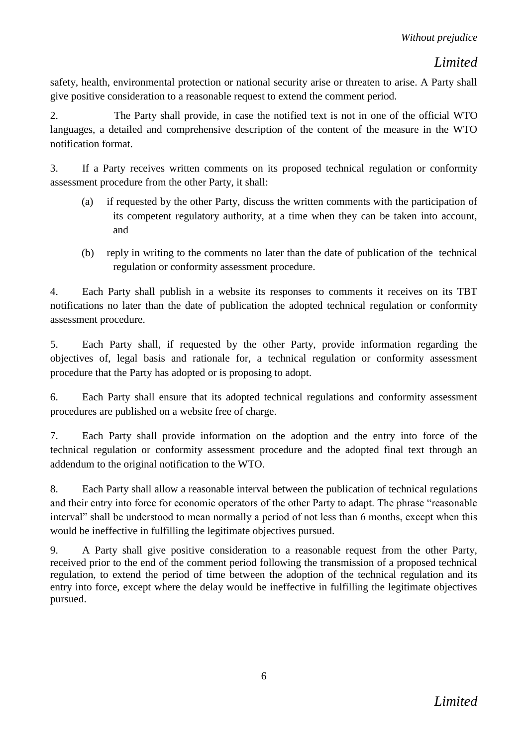safety, health, environmental protection or national security arise or threaten to arise. A Party shall give positive consideration to a reasonable request to extend the comment period.

2. The Party shall provide, in case the notified text is not in one of the official WTO languages, a detailed and comprehensive description of the content of the measure in the WTO notification format.

3. If a Party receives written comments on its proposed technical regulation or conformity assessment procedure from the other Party, it shall:

- (a) if requested by the other Party, discuss the written comments with the participation of its competent regulatory authority, at a time when they can be taken into account, and
- (b) reply in writing to the comments no later than the date of publication of the technical regulation or conformity assessment procedure.

4. Each Party shall publish in a website its responses to comments it receives on its TBT notifications no later than the date of publication the adopted technical regulation or conformity assessment procedure.

5. Each Party shall, if requested by the other Party, provide information regarding the objectives of, legal basis and rationale for, a technical regulation or conformity assessment procedure that the Party has adopted or is proposing to adopt.

6. Each Party shall ensure that its adopted technical regulations and conformity assessment procedures are published on a website free of charge.

7. Each Party shall provide information on the adoption and the entry into force of the technical regulation or conformity assessment procedure and the adopted final text through an addendum to the original notification to the WTO.

8. Each Party shall allow a reasonable interval between the publication of technical regulations and their entry into force for economic operators of the other Party to adapt. The phrase "reasonable interval" shall be understood to mean normally a period of not less than 6 months, except when this would be ineffective in fulfilling the legitimate objectives pursued.

9. A Party shall give positive consideration to a reasonable request from the other Party, received prior to the end of the comment period following the transmission of a proposed technical regulation, to extend the period of time between the adoption of the technical regulation and its entry into force, except where the delay would be ineffective in fulfilling the legitimate objectives pursued.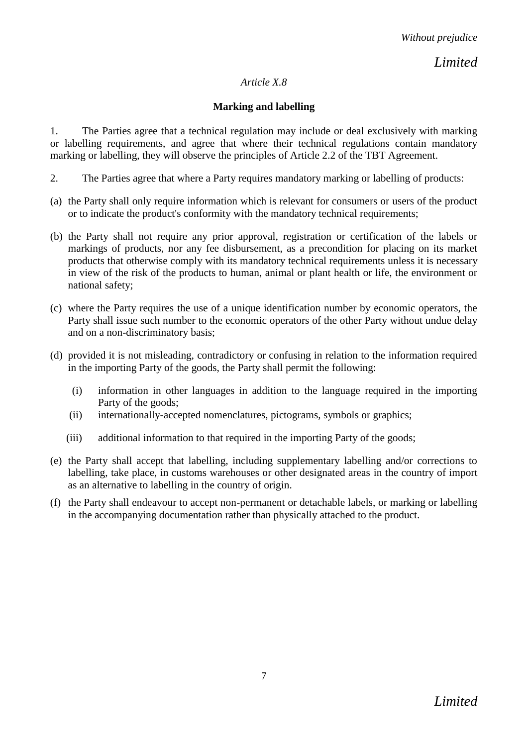### *Article X.8*

## **Marking and labelling**

1. The Parties agree that a technical regulation may include or deal exclusively with marking or labelling requirements, and agree that where their technical regulations contain mandatory marking or labelling, they will observe the principles of Article 2.2 of the TBT Agreement.

- 2. The Parties agree that where a Party requires mandatory marking or labelling of products:
- (a) the Party shall only require information which is relevant for consumers or users of the product or to indicate the product's conformity with the mandatory technical requirements;
- (b) the Party shall not require any prior approval, registration or certification of the labels or markings of products, nor any fee disbursement, as a precondition for placing on its market products that otherwise comply with its mandatory technical requirements unless it is necessary in view of the risk of the products to human, animal or plant health or life, the environment or national safety;
- (c) where the Party requires the use of a unique identification number by economic operators, the Party shall issue such number to the economic operators of the other Party without undue delay and on a non-discriminatory basis;
- (d) provided it is not misleading, contradictory or confusing in relation to the information required in the importing Party of the goods, the Party shall permit the following:
	- (i) information in other languages in addition to the language required in the importing Party of the goods;
	- (ii) internationally-accepted nomenclatures, pictograms, symbols or graphics;
	- (iii) additional information to that required in the importing Party of the goods;
- (e) the Party shall accept that labelling, including supplementary labelling and/or corrections to labelling, take place, in customs warehouses or other designated areas in the country of import as an alternative to labelling in the country of origin.
- (f) the Party shall endeavour to accept non-permanent or detachable labels, or marking or labelling in the accompanying documentation rather than physically attached to the product.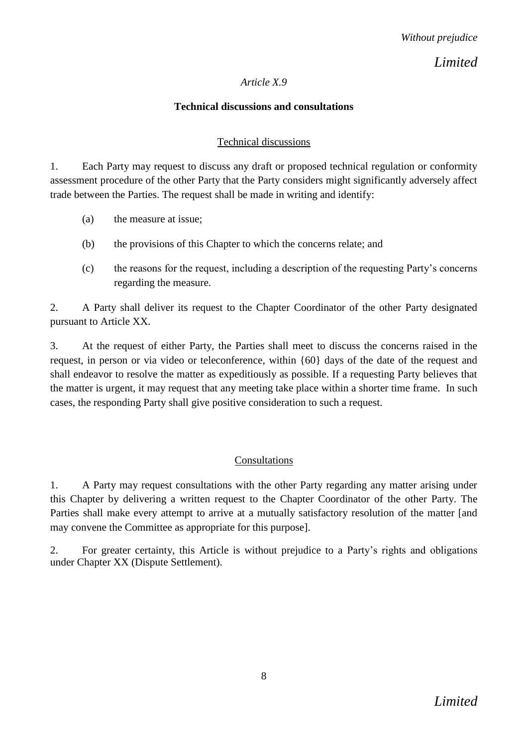### *Article X.9*

### **Technical discussions and consultations**

### Technical discussions

1. Each Party may request to discuss any draft or proposed technical regulation or conformity assessment procedure of the other Party that the Party considers might significantly adversely affect trade between the Parties. The request shall be made in writing and identify:

- (a) the measure at issue;
- (b) the provisions of this Chapter to which the concerns relate; and
- (c) the reasons for the request, including a description of the requesting Party's concerns regarding the measure.

2. A Party shall deliver its request to the Chapter Coordinator of the other Party designated pursuant to Article XX.

3. At the request of either Party, the Parties shall meet to discuss the concerns raised in the request, in person or via video or teleconference, within {60} days of the date of the request and shall endeavor to resolve the matter as expeditiously as possible. If a requesting Party believes that the matter is urgent, it may request that any meeting take place within a shorter time frame. In such cases, the responding Party shall give positive consideration to such a request.

### Consultations

1. A Party may request consultations with the other Party regarding any matter arising under this Chapter by delivering a written request to the Chapter Coordinator of the other Party. The Parties shall make every attempt to arrive at a mutually satisfactory resolution of the matter [and may convene the Committee as appropriate for this purpose].

2. For greater certainty, this Article is without prejudice to a Party's rights and obligations under Chapter XX (Dispute Settlement).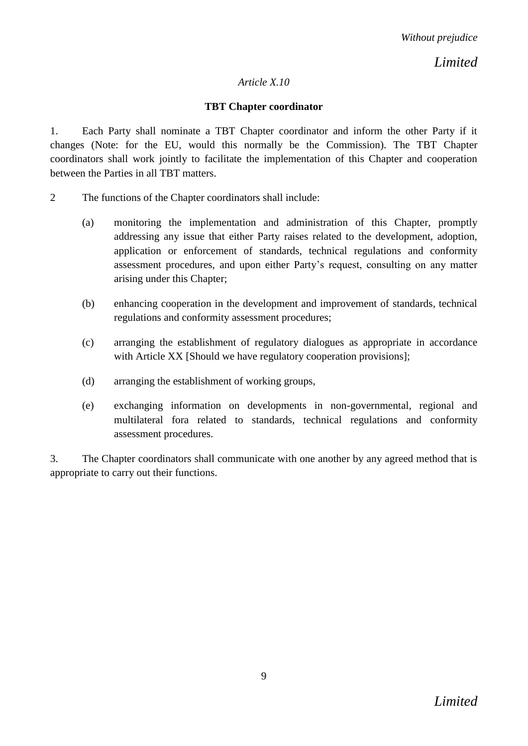### *Article X.10*

### **TBT Chapter coordinator**

1. Each Party shall nominate a TBT Chapter coordinator and inform the other Party if it changes (Note: for the EU, would this normally be the Commission). The TBT Chapter coordinators shall work jointly to facilitate the implementation of this Chapter and cooperation between the Parties in all TBT matters.

- 2 The functions of the Chapter coordinators shall include:
	- (a) monitoring the implementation and administration of this Chapter, promptly addressing any issue that either Party raises related to the development, adoption, application or enforcement of standards, technical regulations and conformity assessment procedures, and upon either Party's request, consulting on any matter arising under this Chapter;
	- (b) enhancing cooperation in the development and improvement of standards, technical regulations and conformity assessment procedures;
	- (c) arranging the establishment of regulatory dialogues as appropriate in accordance with Article XX [Should we have regulatory cooperation provisions];
	- (d) arranging the establishment of working groups,
	- (e) exchanging information on developments in non-governmental, regional and multilateral fora related to standards, technical regulations and conformity assessment procedures.

3. The Chapter coordinators shall communicate with one another by any agreed method that is appropriate to carry out their functions.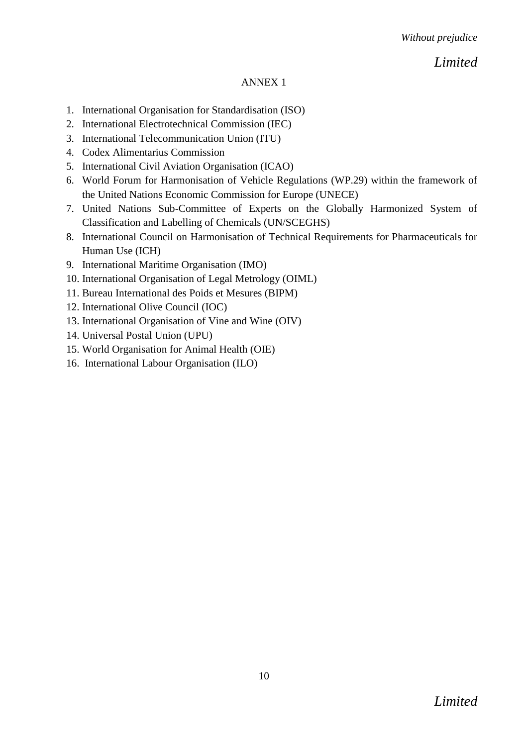### ANNEX 1

- 1. International Organisation for Standardisation (ISO)
- 2. International Electrotechnical Commission (IEC)
- 3. International Telecommunication Union (ITU)
- 4. Codex Alimentarius Commission
- 5. International Civil Aviation Organisation (ICAO)
- 6. World Forum for Harmonisation of Vehicle Regulations (WP.29) within the framework of the United Nations Economic Commission for Europe (UNECE)
- 7. United Nations Sub-Committee of Experts on the Globally Harmonized System of Classification and Labelling of Chemicals (UN/SCEGHS)
- 8. International Council on Harmonisation of Technical Requirements for Pharmaceuticals for Human Use (ICH)
- 9. International Maritime Organisation (IMO)
- 10. International Organisation of Legal Metrology (OIML)
- 11. Bureau International des Poids et Mesures (BIPM)
- 12. International Olive Council (IOC)
- 13. International Organisation of Vine and Wine (OIV)
- 14. Universal Postal Union (UPU)
- 15. World Organisation for Animal Health (OIE)
- 16. International Labour Organisation (ILO)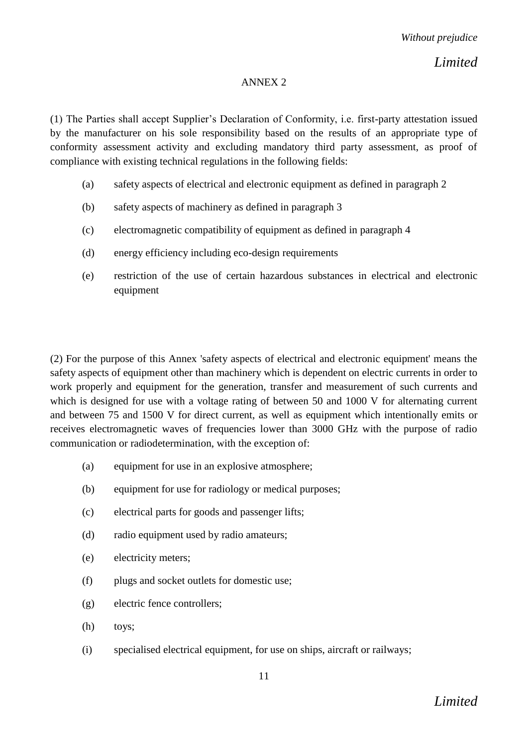#### ANNEX 2

(1) The Parties shall accept Supplier's Declaration of Conformity, i.e. first-party attestation issued by the manufacturer on his sole responsibility based on the results of an appropriate type of conformity assessment activity and excluding mandatory third party assessment, as proof of compliance with existing technical regulations in the following fields:

- (a) safety aspects of electrical and electronic equipment as defined in paragraph 2
- (b) safety aspects of machinery as defined in paragraph 3
- (c) electromagnetic compatibility of equipment as defined in paragraph 4
- (d) energy efficiency including eco-design requirements
- (e) restriction of the use of certain hazardous substances in electrical and electronic equipment

(2) For the purpose of this Annex 'safety aspects of electrical and electronic equipment' means the safety aspects of equipment other than machinery which is dependent on electric currents in order to work properly and equipment for the generation, transfer and measurement of such currents and which is designed for use with a voltage rating of between 50 and 1000 V for alternating current and between 75 and 1500 V for direct current, as well as equipment which intentionally emits or receives electromagnetic waves of frequencies lower than 3000 GHz with the purpose of radio communication or radiodetermination, with the exception of:

- (a) equipment for use in an explosive atmosphere;
- (b) equipment for use for radiology or medical purposes;
- (c) electrical parts for goods and passenger lifts;
- (d) radio equipment used by radio amateurs;
- (e) electricity meters;
- (f) plugs and socket outlets for domestic use;
- (g) electric fence controllers;
- (h) toys;
- (i) specialised electrical equipment, for use on ships, aircraft or railways;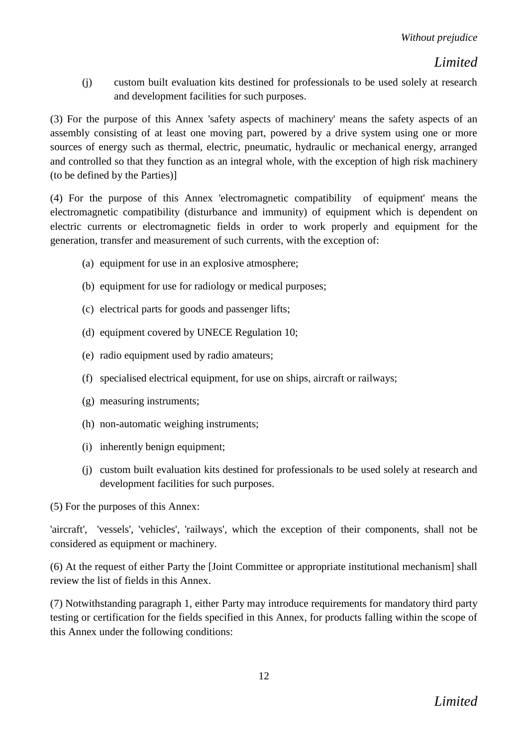(j) custom built evaluation kits destined for professionals to be used solely at research and development facilities for such purposes.

(3) For the purpose of this Annex 'safety aspects of machinery' means the safety aspects of an assembly consisting of at least one moving part, powered by a drive system using one or more sources of energy such as thermal, electric, pneumatic, hydraulic or mechanical energy, arranged and controlled so that they function as an integral whole, with the exception of high risk machinery (to be defined by the Parties)]

(4) For the purpose of this Annex 'electromagnetic compatibility of equipment' means the electromagnetic compatibility (disturbance and immunity) of equipment which is dependent on electric currents or electromagnetic fields in order to work properly and equipment for the generation, transfer and measurement of such currents, with the exception of:

- (a) equipment for use in an explosive atmosphere;
- (b) equipment for use for radiology or medical purposes;
- (c) electrical parts for goods and passenger lifts;
- (d) equipment covered by UNECE Regulation 10;
- (e) radio equipment used by radio amateurs;
- (f) specialised electrical equipment, for use on ships, aircraft or railways;
- (g) measuring instruments;
- (h) non-automatic weighing instruments;
- (i) inherently benign equipment;
- (j) custom built evaluation kits destined for professionals to be used solely at research and development facilities for such purposes.

(5) For the purposes of this Annex:

'aircraft', 'vessels', 'vehicles', 'railways', which the exception of their components, shall not be considered as equipment or machinery.

(6) At the request of either Party the [Joint Committee or appropriate institutional mechanism] shall review the list of fields in this Annex.

(7) Notwithstanding paragraph 1, either Party may introduce requirements for mandatory third party testing or certification for the fields specified in this Annex, for products falling within the scope of this Annex under the following conditions: